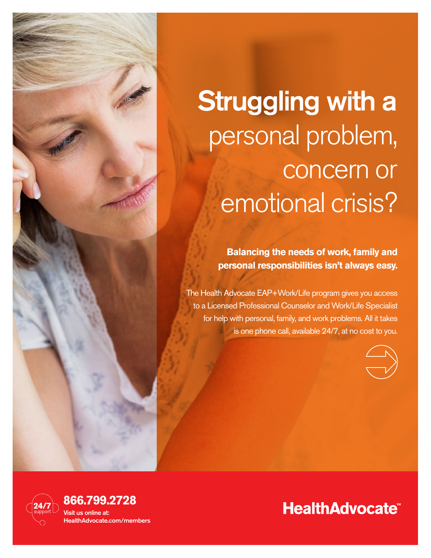

# Struggling with a personal problem, concern or emotional crisis?

**Balancing the needs of work, family and personal responsibilities isn't always easy.** 

The Health Advocate EAP+Work/Life program gives you access to a Licensed Professional Counselor and Work/Life Specialist for help with personal, family, and work problems. All it takes is one phone call, available 24/7, at no cost to you.



# **HealthAdvocate®**